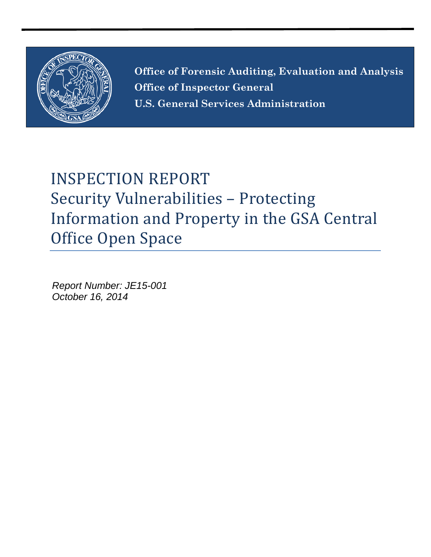

**Office of Forensic Auditing, Evaluation and Analysis Office of Inspector General U.S. General Services Administration**

# INSPECTION REPORT Security Vulnerabilities – Protecting Information and Property in the GSA Central Office Open Space

*Report Number: JE15-001 October 16, 2014*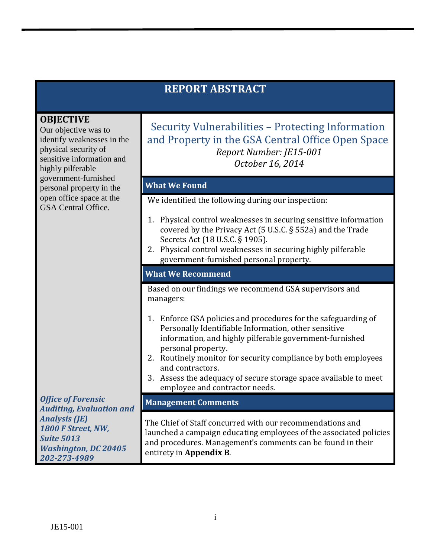|                                                                                                                                                  | <b>REPORT ABSTRACT</b>                                                                                                                                                                                                                                                                                                                                                                                 |
|--------------------------------------------------------------------------------------------------------------------------------------------------|--------------------------------------------------------------------------------------------------------------------------------------------------------------------------------------------------------------------------------------------------------------------------------------------------------------------------------------------------------------------------------------------------------|
| <b>OBJECTIVE</b><br>Our objective was to<br>identify weaknesses in the<br>physical security of<br>sensitive information and<br>highly pilferable | Security Vulnerabilities – Protecting Information<br>and Property in the GSA Central Office Open Space<br>Report Number: JE15-001<br>October 16, 2014                                                                                                                                                                                                                                                  |
| government-furnished<br>personal property in the                                                                                                 | <b>What We Found</b>                                                                                                                                                                                                                                                                                                                                                                                   |
| open office space at the<br>GSA Central Office.                                                                                                  | We identified the following during our inspection:                                                                                                                                                                                                                                                                                                                                                     |
|                                                                                                                                                  | Physical control weaknesses in securing sensitive information<br>1.<br>covered by the Privacy Act (5 U.S.C. § 552a) and the Trade<br>Secrets Act (18 U.S.C. § 1905).<br>2. Physical control weaknesses in securing highly pilferable<br>government-furnished personal property.                                                                                                                        |
|                                                                                                                                                  | <b>What We Recommend</b>                                                                                                                                                                                                                                                                                                                                                                               |
|                                                                                                                                                  | Based on our findings we recommend GSA supervisors and<br>managers:                                                                                                                                                                                                                                                                                                                                    |
|                                                                                                                                                  | 1. Enforce GSA policies and procedures for the safeguarding of<br>Personally Identifiable Information, other sensitive<br>information, and highly pilferable government-furnished<br>personal property.<br>2. Routinely monitor for security compliance by both employees<br>and contractors.<br>Assess the adequacy of secure storage space available to meet<br>3.<br>employee and contractor needs. |
| <b>Office of Forensic</b><br><b>Auditing, Evaluation and</b>                                                                                     | <b>Management Comments</b>                                                                                                                                                                                                                                                                                                                                                                             |
| <b>Analysis (JE)</b><br>1800 F Street, NW,<br><b>Suite 5013</b><br><b>Washington, DC 20405</b><br>202-273-4989                                   | The Chief of Staff concurred with our recommendations and<br>launched a campaign educating employees of the associated policies<br>and procedures. Management's comments can be found in their<br>entirety in Appendix B.                                                                                                                                                                              |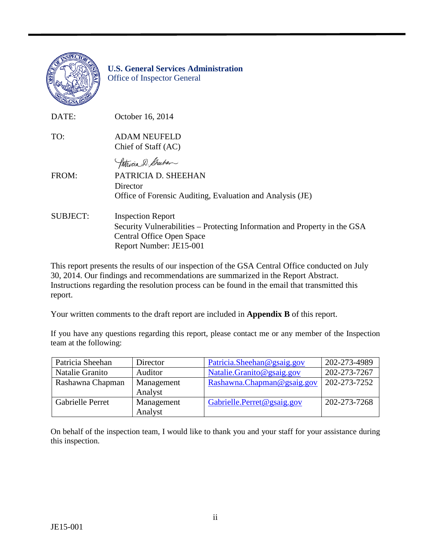

#### **U.S. General Services Administration** Office of Inspector General

| DATE:           | October 16, 2014                                                                                                                                              |
|-----------------|---------------------------------------------------------------------------------------------------------------------------------------------------------------|
| TO:             | <b>ADAM NEUFELD</b><br>Chief of Staff (AC)                                                                                                                    |
|                 | Patricia D. Sheehen                                                                                                                                           |
| FROM:           | PATRICIA D. SHEEHAN<br>Director<br>Office of Forensic Auditing, Evaluation and Analysis (JE)                                                                  |
| <b>SUBJECT:</b> | <b>Inspection Report</b><br>Security Vulnerabilities – Protecting Information and Property in the GSA<br>Central Office Open Space<br>Report Number: JE15-001 |

This report presents the results of our inspection of the GSA Central Office conducted on July 30, 2014. Our findings and recommendations are summarized in the Report Abstract. Instructions regarding the resolution process can be found in the email that transmitted this report.

Your written comments to the draft report are included in **Appendix B** of this report.

If you have any questions regarding this report, please contact me or any member of the Inspection team at the following:

| Patricia Sheehan        | Director   | Patricia. Sheehan @ gsaig.gov | 202-273-4989 |
|-------------------------|------------|-------------------------------|--------------|
| Natalie Granito         | Auditor    | Natalie.Granito@gsaig.gov     | 202-273-7267 |
| Rashawna Chapman        | Management | Rashawna.Chapman@gsaig.gov    | 202-273-7252 |
|                         | Analyst    |                               |              |
| <b>Gabrielle Perret</b> | Management | Gabrielle.Perret@gsaig.gov    | 202-273-7268 |
|                         | Analyst    |                               |              |

On behalf of the inspection team, I would like to thank you and your staff for your assistance during this inspection.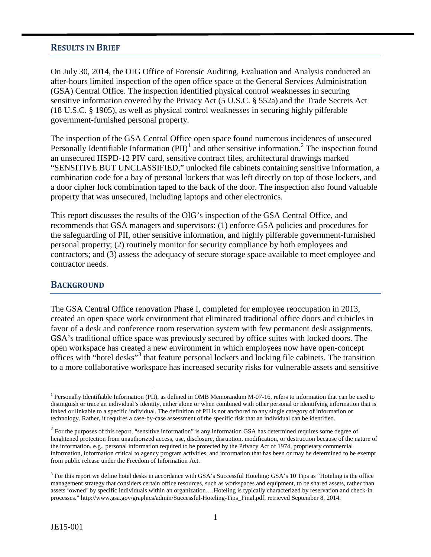#### **RESULTS IN BRIEF**

On July 30, 2014, the OIG Office of Forensic Auditing, Evaluation and Analysis conducted an after-hours limited inspection of the open office space at the General Services Administration (GSA) Central Office. The inspection identified physical control weaknesses in securing sensitive information covered by the Privacy Act (5 U.S.C. § 552a) and the Trade Secrets Act (18 U.S.C. § 1905), as well as physical control weaknesses in securing highly pilferable government-furnished personal property.

The inspection of the GSA Central Office open space found numerous incidences of unsecured Personally Identifiable Information  $(PII)^1$  $(PII)^1$  and other sensitive information.<sup>[2](#page-3-1)</sup> The inspection found an unsecured HSPD-12 PIV card, sensitive contract files, architectural drawings marked "SENSITIVE BUT UNCLASSIFIED," unlocked file cabinets containing sensitive information, a combination code for a bay of personal lockers that was left directly on top of those lockers, and a door cipher lock combination taped to the back of the door. The inspection also found valuable property that was unsecured, including laptops and other electronics.

This report discusses the results of the OIG's inspection of the GSA Central Office, and recommends that GSA managers and supervisors: (1) enforce GSA policies and procedures for the safeguarding of PII, other sensitive information, and highly pilferable government-furnished personal property; (2) routinely monitor for security compliance by both employees and contractors; and (3) assess the adequacy of secure storage space available to meet employee and contractor needs.

#### **BACKGROUND**

The GSA Central Office renovation Phase I, completed for employee reoccupation in 2013, created an open space work environment that eliminated traditional office doors and cubicles in favor of a desk and conference room reservation system with few permanent desk assignments. GSA's traditional office space was previously secured by office suites with locked doors. The open workspace has created a new environment in which employees now have open-concept offices with "hotel desks"[3](#page-3-2) that feature personal lockers and locking file cabinets. The transition to a more collaborative workspace has increased security risks for vulnerable assets and sensitive

<span id="page-3-0"></span> <sup>1</sup> Personally Identifiable Information (PII), as defined in OMB Memorandum M-07-16, refers to information that can be used to distinguish or trace an individual's identity, either alone or when combined with other personal or identifying information that is linked or linkable to a specific individual. The definition of PII is not anchored to any single category of information or technology. Rather, it requires a case-by-case assessment of the specific risk that an individual can be identified.

<span id="page-3-1"></span> $2$  For the purposes of this report, "sensitive information" is any information GSA has determined requires some degree of heightened protection from unauthorized access, use, disclosure, disruption, modification, or destruction because of the nature of the information, e.g., personal information required to be protected by the Privacy Act of 1974, proprietary commercial information, information critical to agency program activities, and information that has been or may be determined to be exempt from public release under the Freedom of Information Act.

<span id="page-3-2"></span><sup>&</sup>lt;sup>3</sup> For this report we define hotel desks in accordance with GSA's Successful Hoteling: GSA's 10 Tips as "Hoteling is the office management strategy that considers certain office resources, such as workspaces and equipment, to be shared assets, rather than assets 'owned' by specific individuals within an organization….Hoteling is typically characterized by reservation and check-in processes." http://www.gsa.gov/graphics/admin/Successful-Hoteling-Tips\_Final.pdf, retrieved September 8, 2014.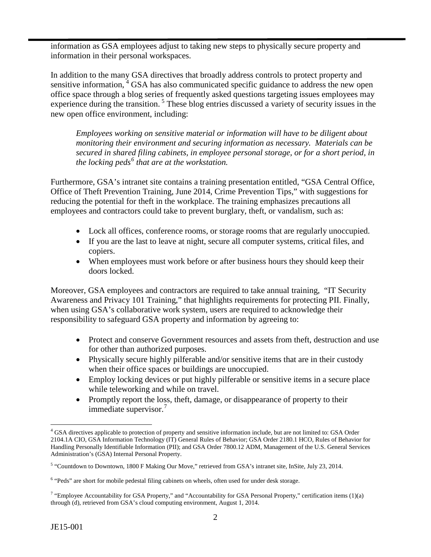information as GSA employees adjust to taking new steps to physically secure property and information in their personal workspaces.

In addition to the many GSA directives that broadly address controls to protect property and sensitive information,<sup>[4](#page-4-0)</sup> GSA has also communicated specific guidance to address the new open office space through a blog series of frequently asked questions targeting issues employees may experience during the transition.<sup>[5](#page-4-1)</sup> These blog entries discussed a variety of security issues in the new open office environment, including:

*Employees working on sensitive material or information will have to be diligent about monitoring their environment and securing information as necessary. Materials can be secured in shared filing cabinets, in employee personal storage, or for a short period, in the locking peds[6](#page-4-2) that are at the workstation.* 

Furthermore, GSA's intranet site contains a training presentation entitled, "GSA Central Office, Office of Theft Prevention Training, June 2014, Crime Prevention Tips," with suggestions for reducing the potential for theft in the workplace. The training emphasizes precautions all employees and contractors could take to prevent burglary, theft, or vandalism, such as:

- Lock all offices, conference rooms, or storage rooms that are regularly unoccupied.
- If you are the last to leave at night, secure all computer systems, critical files, and copiers.
- When employees must work before or after business hours they should keep their doors locked.

Moreover, GSA employees and contractors are required to take annual training, ["IT Security](https://gsaolu.gsa.gov/courseredirect.asp?sessionid=3-467095FA-509A-4672-9623-86C873C01937&DCT=1&courseid=9084)  [Awareness and Privacy 101 Training,](https://gsaolu.gsa.gov/courseredirect.asp?sessionid=3-467095FA-509A-4672-9623-86C873C01937&DCT=1&courseid=9084)" that highlights requirements for protecting PII. Finally, when using GSA's collaborative work system, users are required to acknowledge their responsibility to safeguard GSA property and information by agreeing to:

- Protect and conserve Government resources and assets from theft, destruction and use for other than authorized purposes.
- Physically secure highly pilferable and/or sensitive items that are in their custody when their office spaces or buildings are unoccupied.
- Employ locking devices or put highly pilferable or sensitive items in a secure place while teleworking and while on travel.
- Promptly report the loss, theft, damage, or disappearance of property to their immediate supervisor.<sup>[7](#page-4-3)</sup>

<span id="page-4-0"></span><sup>&</sup>lt;sup>4</sup> GSA directives applicable to protection of property and sensitive information include, but are not limited to: GSA Order 2104.1A CIO, GSA Information Technology (IT) General Rules of Behavior; GSA Order 2180.1 HCO, Rules of Behavior for Handling Personally Identifiable Information (PII); and GSA Order 7800.12 ADM, Management of the U.S. General Services Administration's (GSA) Internal Personal Property.

<span id="page-4-1"></span><sup>5</sup> "Countdown to Downtown, 1800 F Making Our Move," retrieved from GSA's intranet site, InSite, July 23, 2014.

<span id="page-4-2"></span><sup>&</sup>lt;sup>6</sup> "Peds" are short for mobile pedestal filing cabinets on wheels, often used for under desk storage.

<span id="page-4-3"></span><sup>&</sup>lt;sup>7</sup> "Employee Accountability for GSA Property," and "Accountability for GSA Personal Property," certification items  $(1)(a)$ through (d), retrieved from GSA's cloud computing environment, August 1, 2014.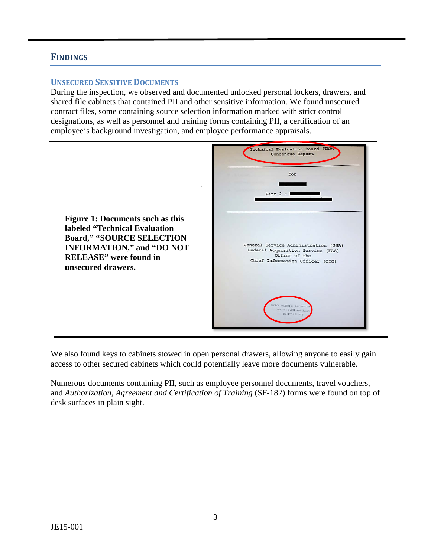## **FINDINGS**

#### **UNSECURED SENSITIVE DOCUMENTS**

During the inspection, we observed and documented unlocked personal lockers, drawers, and shared file cabinets that contained PII and other sensitive information. We found unsecured contract files, some containing source selection information marked with strict control designations, as well as personnel and training forms containing PII, a certification of an employee's background investigation, and employee performance appraisals.



We also found keys to cabinets stowed in open personal drawers, allowing anyone to easily gain access to other secured cabinets which could potentially leave more documents vulnerable.

Numerous documents containing PII, such as employee personnel documents, travel vouchers, and *Authorization, Agreement and Certification of Training* (SF-182) forms were found on top of desk surfaces in plain sight.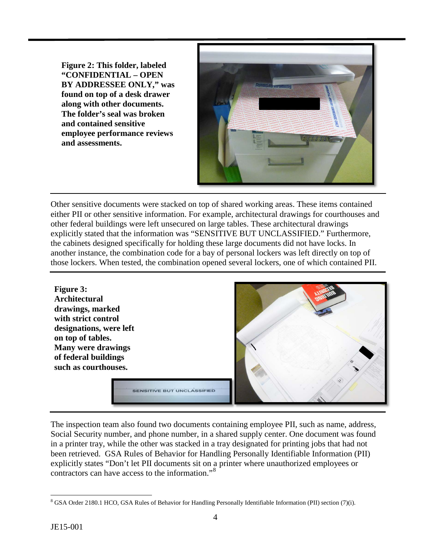**Figure 2: This folder, labeled "CONFIDENTIAL – OPEN BY ADDRESSEE ONLY," was found on top of a desk drawer along with other documents. The folder's seal was broken and contained sensitive employee performance reviews and assessments.**



Other sensitive documents were stacked on top of shared working areas. These items contained either PII or other sensitive information. For example, architectural drawings for courthouses and other federal buildings were left unsecured on large tables. These architectural drawings explicitly stated that the information was "SENSITIVE BUT UNCLASSIFIED." Furthermore, the cabinets designed specifically for holding these large documents did not have locks. In another instance, the combination code for a bay of personal lockers was left directly on top of those lockers. When tested, the combination opened several lockers, one of which contained PII.

**Figure 3: Architectural drawings, marked with strict control designations, were left on top of tables. Many were drawings of federal buildings such as courthouses.**



**SENSITIVE BUT UNCLASSIFIED** 

The inspection team also found two documents containing employee PII, such as name, address, Social Security number, and phone number, in a shared supply center. One document was found in a printer tray, while the other was stacked in a tray designated for printing jobs that had not been retrieved. GSA Rules of Behavior for Handling Personally Identifiable Information (PII) explicitly states "Don't let PII documents sit on a printer where unauthorized employees or contractors can have access to the information."[8](#page-6-0)

<span id="page-6-0"></span> <sup>8</sup> GSA Order 2180.1 HCO, GSA Rules of Behavior for Handling Personally Identifiable Information (PII) section (7)(i).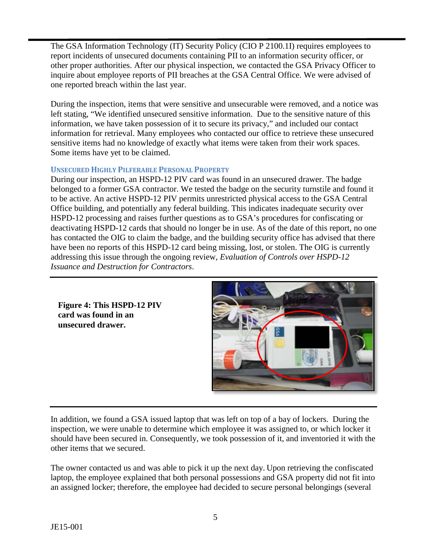The GSA Information Technology (IT) Security Policy (CIO P 2100.1I) requires employees to report incidents of unsecured documents containing PII to an information security officer, or other proper authorities. After our physical inspection, we contacted the GSA Privacy Officer to inquire about employee reports of PII breaches at the GSA Central Office. We were advised of one reported breach within the last year.

During the inspection, items that were sensitive and unsecurable were removed, and a notice was left stating, "We identified unsecured sensitive information. Due to the sensitive nature of this information, we have taken possession of it to secure its privacy," and included our contact information for retrieval. Many employees who contacted our office to retrieve these unsecured sensitive items had no knowledge of exactly what items were taken from their work spaces. Some items have yet to be claimed.

#### **UNSECURED HIGHLY PILFERABLE PERSONAL PROPERTY**

During our inspection, an HSPD-12 PIV card was found in an unsecured drawer. The badge belonged to a former GSA contractor. We tested the badge on the security turnstile and found it to be active. An active HSPD-12 PIV permits unrestricted physical access to the GSA Central Office building, and potentially any federal building. This indicates inadequate security over HSPD-12 processing and raises further questions as to GSA's procedures for confiscating or deactivating HSPD-12 cards that should no longer be in use. As of the date of this report, no one has contacted the OIG to claim the badge, and the building security office has advised that there have been no reports of this HSPD-12 card being missing, lost, or stolen. The OIG is currently addressing this issue through the ongoing review, *Evaluation of Controls over HSPD-12 Issuance and Destruction for Contractors*.

**Figure 4: This HSPD-12 PIV card was found in an unsecured drawer.**



In addition, we found a GSA issued laptop that was left on top of a bay of lockers. During the inspection, we were unable to determine which employee it was assigned to, or which locker it should have been secured in. Consequently, we took possession of it, and inventoried it with the other items that we secured.

The owner contacted us and was able to pick it up the next day. Upon retrieving the confiscated laptop, the employee explained that both personal possessions and GSA property did not fit into an assigned locker; therefore, the employee had decided to secure personal belongings (several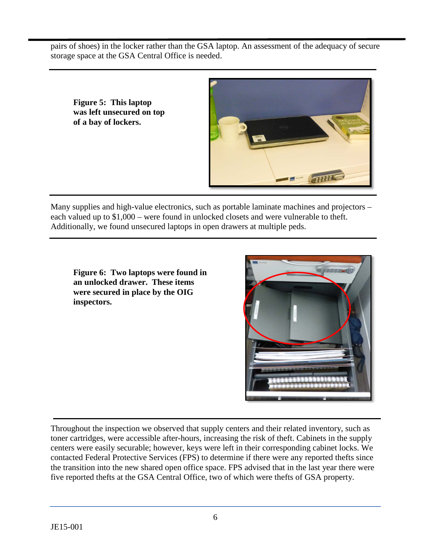pairs of shoes) in the locker rather than the GSA laptop. An assessment of the adequacy of secure storage space at the GSA Central Office is needed.

**Figure 5: This laptop was left unsecured on top of a bay of lockers.** 

![](_page_8_Picture_2.jpeg)

Many supplies and high-value electronics, such as portable laminate machines and projectors – each valued up to \$1,000 – were found in unlocked closets and were vulnerable to theft. Additionally, we found unsecured laptops in open drawers at multiple peds.

**Figure 6: Two laptops were found in an unlocked drawer. These items were secured in place by the OIG inspectors.**

![](_page_8_Picture_5.jpeg)

Throughout the inspection we observed that supply centers and their related inventory, such as toner cartridges, were accessible after-hours, increasing the risk of theft. Cabinets in the supply centers were easily securable; however, keys were left in their corresponding cabinet locks. We contacted Federal Protective Services (FPS) to determine if there were any reported thefts since the transition into the new shared open office space. FPS advised that in the last year there were five reported thefts at the GSA Central Office, two of which were thefts of GSA property.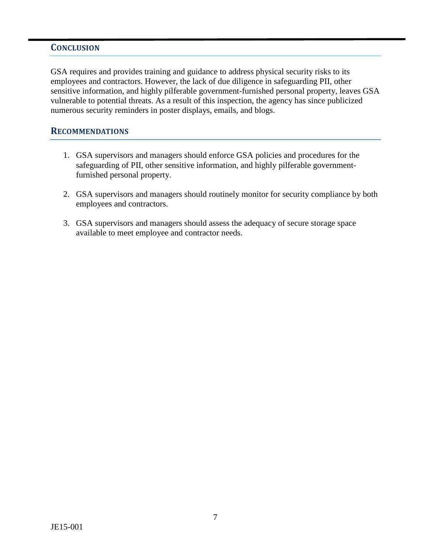### **CONCLUSION**

GSA requires and provides training and guidance to address physical security risks to its employees and contractors. However, the lack of due diligence in safeguarding PII, other sensitive information, and highly pilferable government-furnished personal property, leaves GSA vulnerable to potential threats. As a result of this inspection, the agency has since publicized numerous security reminders in poster displays, emails, and blogs.

#### **RECOMMENDATIONS**

- 1. GSA supervisors and managers should enforce GSA policies and procedures for the safeguarding of PII, other sensitive information, and highly pilferable governmentfurnished personal property.
- 2. GSA supervisors and managers should routinely monitor for security compliance by both employees and contractors.
- 3. GSA supervisors and managers should assess the adequacy of secure storage space available to meet employee and contractor needs.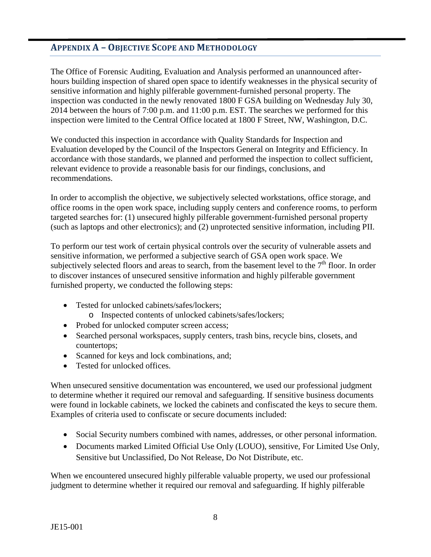# **APPENDIX A – OBJECTIVE SCOPE AND METHODOLOGY**

The Office of Forensic Auditing, Evaluation and Analysis performed an unannounced afterhours building inspection of shared open space to identify weaknesses in the physical security of sensitive information and highly pilferable government-furnished personal property. The inspection was conducted in the newly renovated 1800 F GSA building on Wednesday July 30, 2014 between the hours of 7:00 p.m. and 11:00 p.m. EST. The searches we performed for this inspection were limited to the Central Office located at 1800 F Street, NW, Washington, D.C.

We conducted this inspection in accordance with Quality Standards for Inspection and Evaluation developed by the Council of the Inspectors General on Integrity and Efficiency. In accordance with those standards, we planned and performed the inspection to collect sufficient, relevant evidence to provide a reasonable basis for our findings, conclusions, and recommendations.

In order to accomplish the objective, we subjectively selected workstations, office storage, and office rooms in the open work space, including supply centers and conference rooms, to perform targeted searches for: (1) unsecured highly pilferable government-furnished personal property (such as laptops and other electronics); and (2) unprotected sensitive information, including PII.

To perform our test work of certain physical controls over the security of vulnerable assets and sensitive information, we performed a subjective search of GSA open work space. We subjectively selected floors and areas to search, from the basement level to the  $7<sup>th</sup>$  floor. In order to discover instances of unsecured sensitive information and highly pilferable government furnished property, we conducted the following steps:

- Tested for unlocked cabinets/safes/lockers;
	- o Inspected contents of unlocked cabinets/safes/lockers;
- Probed for unlocked computer screen access;
- Searched personal workspaces, supply centers, trash bins, recycle bins, closets, and countertops;
- Scanned for keys and lock combinations, and;
- Tested for unlocked offices.

When unsecured sensitive documentation was encountered, we used our professional judgment to determine whether it required our removal and safeguarding. If sensitive business documents were found in lockable cabinets, we locked the cabinets and confiscated the keys to secure them. Examples of criteria used to confiscate or secure documents included:

- Social Security numbers combined with names, addresses, or other personal information.
- Documents marked Limited Official Use Only (LOUO), sensitive, For Limited Use Only, Sensitive but Unclassified, Do Not Release, Do Not Distribute, etc.

When we encountered unsecured highly pilferable valuable property, we used our professional judgment to determine whether it required our removal and safeguarding. If highly pilferable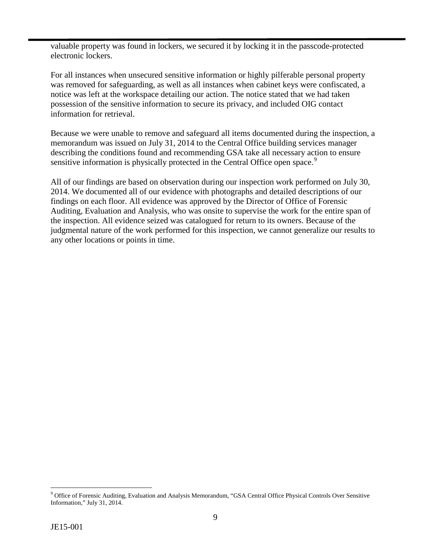valuable property was found in lockers, we secured it by locking it in the passcode-protected electronic lockers.

For all instances when unsecured sensitive information or highly pilferable personal property was removed for safeguarding, as well as all instances when cabinet keys were confiscated, a notice was left at the workspace detailing our action. The notice stated that we had taken possession of the sensitive information to secure its privacy, and included OIG contact information for retrieval.

Because we were unable to remove and safeguard all items documented during the inspection, a memorandum was issued on July 31, 2014 to the Central Office building services manager describing the conditions found and recommending GSA take all necessary action to ensure sensitive information is physically protected in the Central Office open space.<sup>[9](#page-11-0)</sup>

All of our findings are based on observation during our inspection work performed on July 30, 2014. We documented all of our evidence with photographs and detailed descriptions of our findings on each floor. All evidence was approved by the Director of Office of Forensic Auditing, Evaluation and Analysis, who was onsite to supervise the work for the entire span of the inspection. All evidence seized was catalogued for return to its owners. Because of the judgmental nature of the work performed for this inspection, we cannot generalize our results to any other locations or points in time.

<span id="page-11-0"></span> <sup>9</sup> Office of Forensic Auditing, Evaluation and Analysis Memorandum, "GSA Central Office Physical Controls Over Sensitive Information," July 31, 2014.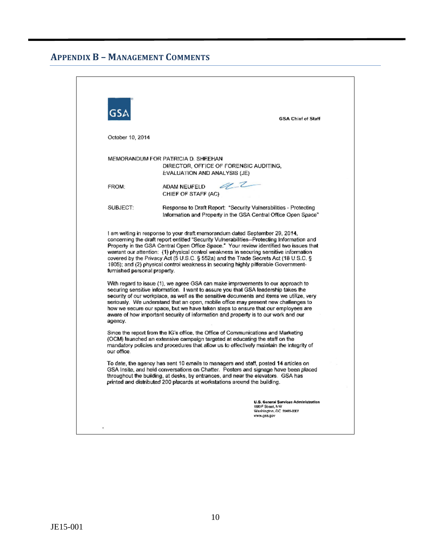# **APPENDIX B – MANAGEMENT COMMENTS**

|                                         | <b>GSA Chief of Staff</b>                                                                                                                                                                                                                                                                                                                                                                                                                                                                                                                                                                                                                                                                                                                                                                                                                                                                           |
|-----------------------------------------|-----------------------------------------------------------------------------------------------------------------------------------------------------------------------------------------------------------------------------------------------------------------------------------------------------------------------------------------------------------------------------------------------------------------------------------------------------------------------------------------------------------------------------------------------------------------------------------------------------------------------------------------------------------------------------------------------------------------------------------------------------------------------------------------------------------------------------------------------------------------------------------------------------|
| October 10, 2014                        |                                                                                                                                                                                                                                                                                                                                                                                                                                                                                                                                                                                                                                                                                                                                                                                                                                                                                                     |
|                                         | MEMORANDUM FOR PATRICIA D. SHEEHAN<br>DIRECTOR, OFFICE OF FORENSIC AUDITING,<br>EVALUATION AND ANALYSIS (JE)                                                                                                                                                                                                                                                                                                                                                                                                                                                                                                                                                                                                                                                                                                                                                                                        |
| FROM:                                   | a_t<br>ADAM NEUFELD<br>CHIEF OF STAFF (AC)                                                                                                                                                                                                                                                                                                                                                                                                                                                                                                                                                                                                                                                                                                                                                                                                                                                          |
| SUBJECT:                                | Response to Draft Report: "Security Vulnerabilities - Protecting<br>Information and Property in the GSA Central Office Open Space"                                                                                                                                                                                                                                                                                                                                                                                                                                                                                                                                                                                                                                                                                                                                                                  |
|                                         | I am writing in response to your draft memorandum dated September 29, 2014,<br>concerning the draft report entitled "Security Vulnerabilities--Protecting Information and                                                                                                                                                                                                                                                                                                                                                                                                                                                                                                                                                                                                                                                                                                                           |
| furnished personal property.<br>agency. | Property in the GSA Central Open Office Space." Your review identified two issues that<br>warrant our attention: (1) physical control weakness in securing sensitive information<br>covered by the Privacy Act (5 U.S.C. § 552a) and the Trade Secrets Act (18 U.S.C. §<br>1905); and (2) physical control weakness in securing highly pilferable Government-<br>With regard to issue (1), we agree GSA can make improvements to our approach to<br>securing sensitive information. I want to assure you that GSA leadership takes the<br>security of our workplace, as well as the sensitive documents and items we utilize, very<br>seriously. We understand that an open, mobile office may present new challenges to<br>how we secure our space, but we have taken steps to ensure that our employees are<br>aware of how important security of information and property is to our work and our |
| our office.                             | Since the report from the IG's office, the Office of Communications and Marketing<br>(OCM) launched an extensive campaign targeted at educating the staff on the<br>mandatory policies and procedures that allow us to effectively maintain the integrity of                                                                                                                                                                                                                                                                                                                                                                                                                                                                                                                                                                                                                                        |
|                                         | To date, the agency has sent 10 emails to managers and staff, posted 14 articles on<br>GSA Insite, and held conversations on Chatter. Posters and signage have been placed<br>throughout the building, at desks, by entrances, and near the elevators. GSA has<br>printed and distributed 200 placards at workstations around the building.                                                                                                                                                                                                                                                                                                                                                                                                                                                                                                                                                         |